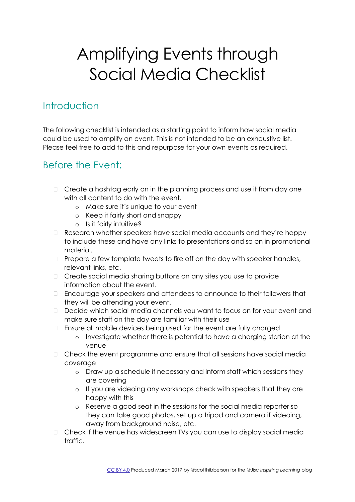# Amplifying Events through Social Media Checklist

#### **Introduction**

The following checklist is intended as a starting point to inform how social media could be used to amplify an event. This is not intended to be an exhaustive list. Please feel free to add to this and repurpose for your own events as required.

## Before the Event:

- $\Box$  Create a hashtag early on in the planning process and use it from day one with all content to do with the event.
	- o Make sure it's unique to your event
	- o Keep it fairly short and snappy
	- o Is it fairly intuitive?
- $\Box$  Research whether speakers have social media accounts and they're happy to include these and have any links to presentations and so on in promotional material.
- $\Box$  Prepare a few template tweets to fire off on the day with speaker handles, relevant links, etc.
- Create social media sharing buttons on any sites you use to provide information about the event.
- Encourage your speakers and attendees to announce to their followers that they will be attending your event.
- Decide which social media channels you want to focus on for your event and make sure staff on the day are familiar with their use
- Ensure all mobile devices being used for the event are fully charged
	- o Investigate whether there is potential to have a charging station at the venue
- $\Box$  Check the event programme and ensure that all sessions have social media coverage
	- o Draw up a schedule if necessary and inform staff which sessions they are covering
	- o If you are videoing any workshops check with speakers that they are happy with this
	- o Reserve a good seat in the sessions for the social media reporter so they can take good photos, set up a tripod and camera if videoing, away from background noise, etc.
- $\Box$  Check if the venue has widescreen TVs you can use to display social media traffic.